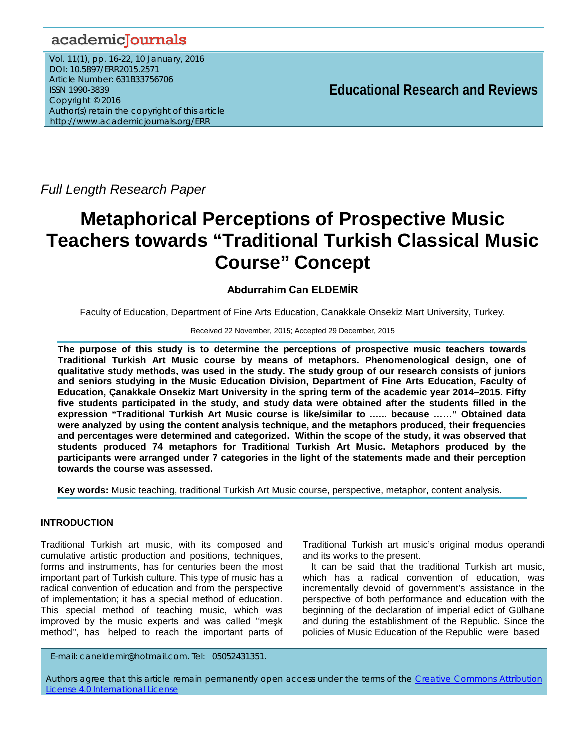# academicJournals

Vol. 11(1), pp. 16-22, 10 January, 2016 DOI: 10.5897/ERR2015.2571 Article Number: 631B33756706 ISSN 1990-3839 Copyright © 2016 Author(s) retain the copyright of this article http://www.academicjournals.org/ERR

**Educational Research and Reviews**

*Full Length Research Paper*

# **Metaphorical Perceptions of Prospective Music Teachers towards "Traditional Turkish Classical Music Course" Concept**

# **Abdurrahim Can ELDEMİR**

Faculty of Education, Department of Fine Arts Education, Canakkale Onsekiz Mart University, Turkey.

#### Received 22 November, 2015; Accepted 29 December, 2015

**The purpose of this study is to determine the perceptions of prospective music teachers towards Traditional Turkish Art Music course by means of metaphors. Phenomenological design, one of qualitative study methods, was used in the study. The study group of our research consists of juniors and seniors studying in the Music Education Division, Department of Fine Arts Education, Faculty of Education, Çanakkale Onsekiz Mart University in the spring term of the academic year 2014–2015. Fifty five students participated in the study, and study data were obtained after the students filled in the expression "Traditional Turkish Art Music course is like/similar to .….. because ……" Obtained data were analyzed by using the content analysis technique, and the metaphors produced, their frequencies and percentages were determined and categorized. Within the scope of the study, it was observed that students produced 74 metaphors for Traditional Turkish Art Music. Metaphors produced by the participants were arranged under 7 categories in the light of the statements made and their perception towards the course was assessed.**

**Key words:** Music teaching, traditional Turkish Art Music course, perspective, metaphor, content analysis.

#### **INTRODUCTION**

Traditional Turkish art music, with its composed and cumulative artistic production and positions, techniques, forms and instruments, has for centuries been the most important part of Turkish culture. This type of music has a radical convention of education and from the perspective of implementation; it has a special method of education. This special method of teaching music, which was improved by the music experts and was called ''meşk method'', has helped to reach the important parts of

Traditional Turkish art music's original modus operandi and its works to the present.

It can be said that the traditional Turkish art music, which has a radical convention of education, was incrementally devoid of government's assistance in the perspective of both performance and education with the beginning of the declaration of imperial edict of Gülhane and during the establishment of the Republic. Since the policies of Music Education of the Republic were based

E-mail: caneldemir@hotmail.com. Tel: 05052431351.

Authors agree that this article remain permanently open access under the terms of the Creative Commons Attribution License 4.0 International License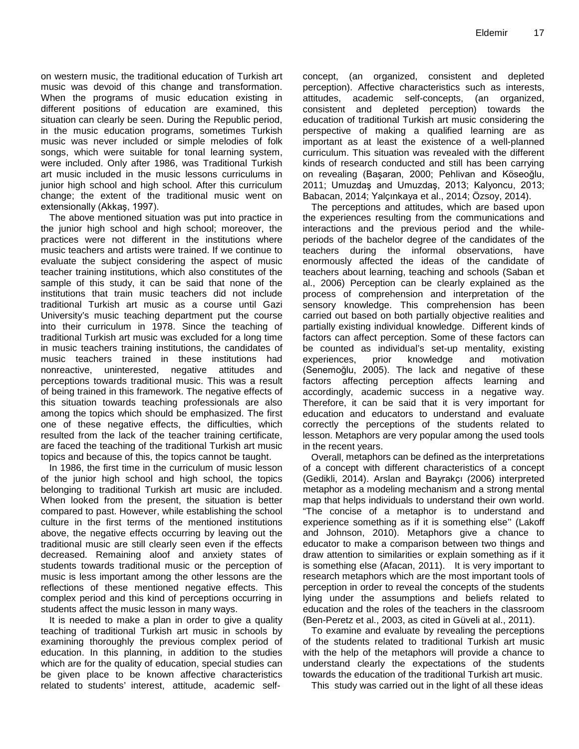on western music, the traditional education of Turkish art music was devoid of this change and transformation. When the programs of music education existing in different positions of education are examined, this situation can clearly be seen. During the Republic period, in the music education programs, sometimes Turkish music was never included or simple melodies of folk songs, which were suitable for tonal learning system, were included. Only after 1986, was Traditional Turkish art music included in the music lessons curriculums in junior high school and high school. After this curriculum change; the extent of the traditional music went on extensionally (Akkaş, 1997).

The above mentioned situation was put into practice in the junior high school and high school; moreover, the practices were not different in the institutions where music teachers and artists were trained. If we continue to evaluate the subject considering the aspect of music teacher training institutions, which also constitutes of the sample of this study, it can be said that none of the institutions that train music teachers did not include traditional Turkish art music as a course until Gazi University's music teaching department put the course into their curriculum in 1978. Since the teaching of traditional Turkish art music was excluded for a long time in music teachers training institutions, the candidates of music teachers trained in these institutions had nonreactive, uninterested, negative attitudes and perceptions towards traditional music. This was a result of being trained in this framework. The negative effects of this situation towards teaching professionals are also among the topics which should be emphasized. The first one of these negative effects, the difficulties, which resulted from the lack of the teacher training certificate, are faced the teaching of the traditional Turkish art music topics and because of this, the topics cannot be taught.

In 1986, the first time in the curriculum of music lesson of the junior high school and high school, the topics belonging to traditional Turkish art music are included. When looked from the present, the situation is better compared to past. However, while establishing the school culture in the first terms of the mentioned institutions above, the negative effects occurring by leaving out the traditional music are still clearly seen even if the effects decreased. Remaining aloof and anxiety states of students towards traditional music or the perception of music is less important among the other lessons are the reflections of these mentioned negative effects. This complex period and this kind of perceptions occurring in students affect the music lesson in many ways.

It is needed to make a plan in order to give a quality teaching of traditional Turkish art music in schools by examining thoroughly the previous complex period of education. In this planning, in addition to the studies which are for the quality of education, special studies can be given place to be known affective characteristics related to students' interest, attitude, academic selfconcept, (an organized, consistent and depleted perception). Affective characteristics such as interests, attitudes, academic self-concepts, (an organized, consistent and depleted perception) towards the education of traditional Turkish art music considering the perspective of making a qualified learning are as important as at least the existence of a well-planned curriculum. This situation was revealed with the different kinds of research conducted and still has been carrying on revealing (Başaran, 2000; Pehlivan and Köseoğlu, 2011; Umuzdaş and Umuzdaş, 2013; Kalyoncu, 2013; Babacan, 2014; Yalçınkaya et al., 2014; Özsoy, 2014).

The perceptions and attitudes, which are based upon the experiences resulting from the communications and interactions and the previous period and the whileperiods of the bachelor degree of the candidates of the teachers during the informal observations, have enormously affected the ideas of the candidate of teachers about learning, teaching and schools (Saban et al., 2006) Perception can be clearly explained as the process of comprehension and interpretation of the sensory knowledge. This comprehension has been carried out based on both partially objective realities and partially existing individual knowledge. Different kinds of factors can affect perception. Some of these factors can be counted as individual's set-up mentality, existing experiences, prior knowledge and motivation (Senemoğlu, 2005). The lack and negative of these factors affecting perception affects learning and accordingly, academic success in a negative way. Therefore, it can be said that it is very important for education and educators to understand and evaluate correctly the perceptions of the students related to lesson. Metaphors are very popular among the used tools in the recent years.

Overall, metaphors can be defined as the interpretations of a concept with different characteristics of a concept (Gedikli, 2014). Arslan and Bayrakçı (2006) interpreted metaphor as a modeling mechanism and a strong mental map that helps individuals to understand their own world. "The concise of a metaphor is to understand and experience something as if it is something else'' (Lakoff and Johnson, 2010). Metaphors give a chance to educator to make a comparison between two things and draw attention to similarities or explain something as if it is something else (Afacan, 2011). It is very important to research metaphors which are the most important tools of perception in order to reveal the concepts of the students lying under the assumptions and beliefs related to education and the roles of the teachers in the classroom (Ben-Peretz et al., 2003, as cited in Güveli at al., 2011).

To examine and evaluate by revealing the perceptions of the students related to traditional Turkish art music with the help of the metaphors will provide a chance to understand clearly the expectations of the students towards the education of the traditional Turkish art music.

This study was carried out in the light of all these ideas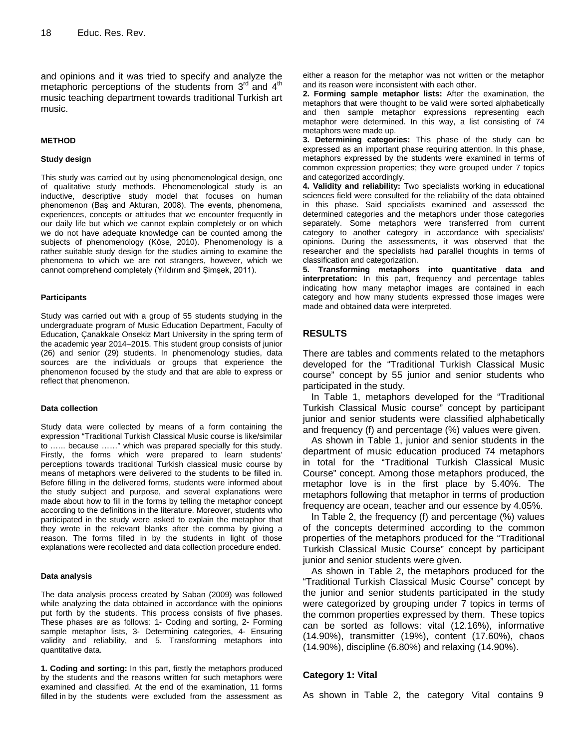and opinions and it was tried to specify and analyze the metaphoric perceptions of the students from  $3<sup>rd</sup>$  and  $4<sup>th</sup>$ music teaching department towards traditional Turkish art music.

#### **METHOD**

#### **Study design**

This study was carried out by using phenomenological design, one of qualitative study methods. Phenomenological study is an inductive, descriptive study model that focuses on human phenomenon (Baş and Akturan, 2008). The events, phenomena, experiences, concepts or attitudes that we encounter frequently in our daily life but which we cannot explain completely or on which we do not have adequate knowledge can be counted among the subjects of phenomenology (Köse, 2010). Phenomenology is a rather suitable study design for the studies aiming to examine the phenomena to which we are not strangers, however, which we cannot comprehend completely (Yıldırım and Şimşek, 2011).

#### **Participants**

Study was carried out with a group of 55 students studying in the undergraduate program of Music Education Department, Faculty of Education, Çanakkale Onsekiz Mart University in the spring term of the academic year 2014–2015. This student group consists of junior (26) and senior (29) students. In phenomenology studies, data sources are the individuals or groups that experience the phenomenon focused by the study and that are able to express or reflect that phenomenon.

#### **Data collection**

Study data were collected by means of a form containing the expression "Traditional Turkish Classical Music course is like/similar to .….. because ……" which was prepared specially for this study. Firstly, the forms which were prepared to learn students' perceptions towards traditional Turkish classical music course by means of metaphors were delivered to the students to be filled in. Before filling in the delivered forms, students were informed about the study subject and purpose, and several explanations were made about how to fill in the forms by telling the metaphor concept according to the definitions in the literature. Moreover, students who participated in the study were asked to explain the metaphor that they wrote in the relevant blanks after the comma by giving a reason. The forms filled in by the students in light of those explanations were recollected and data collection procedure ended.

#### **Data analysis**

The data analysis process created by Saban (2009) was followed while analyzing the data obtained in accordance with the opinions put forth by the students. This process consists of five phases. These phases are as follows: 1- Coding and sorting, 2- Forming sample metaphor lists, 3- Determining categories, 4- Ensuring validity and reliability, and 5. Transforming metaphors into quantitative data.

**1. Coding and sorting:** In this part, firstly the metaphors produced by the students and the reasons written for such metaphors were examined and classified. At the end of the examination, 11 forms filled in by the students were excluded from the assessment as either a reason for the metaphor was not written or the metaphor and its reason were inconsistent with each other.

**2. Forming sample metaphor lists:** After the examination, the metaphors that were thought to be valid were sorted alphabetically and then sample metaphor expressions representing each metaphor were determined. In this way, a list consisting of 74 metaphors were made up.

**3. Determining categories:** This phase of the study can be expressed as an important phase requiring attention. In this phase, metaphors expressed by the students were examined in terms of common expression properties; they were grouped under 7 topics and categorized accordingly.

**4. Validity and reliability:** Two specialists working in educational sciences field were consulted for the reliability of the data obtained in this phase. Said specialists examined and assessed the determined categories and the metaphors under those categories separately. Some metaphors were transferred from current category to another category in accordance with specialists' opinions. During the assessments, it was observed that the researcher and the specialists had parallel thoughts in terms of classification and categorization.

**5. Transforming metaphors into quantitative data and interpretation:** In this part, frequency and percentage tables indicating how many metaphor images are contained in each category and how many students expressed those images were made and obtained data were interpreted.

# **RESULTS**

There are tables and comments related to the metaphors developed for the "Traditional Turkish Classical Music course" concept by 55 junior and senior students who participated in the study.

In Table 1, metaphors developed for the "Traditional Turkish Classical Music course" concept by participant junior and senior students were classified alphabetically and frequency (f) and percentage (%) values were given.

As shown in Table 1, junior and senior students in the department of music education produced 74 metaphors in total for the "Traditional Turkish Classical Music Course" concept. Among those metaphors produced, the metaphor love is in the first place by 5.40%. The metaphors following that metaphor in terms of production frequency are ocean, teacher and our essence by 4.05%.

In Table 2, the frequency (f) and percentage (%) values of the concepts determined according to the common properties of the metaphors produced for the "Traditional Turkish Classical Music Course" concept by participant junior and senior students were given.

As shown in Table 2, the metaphors produced for the "Traditional Turkish Classical Music Course" concept by the junior and senior students participated in the study were categorized by grouping under 7 topics in terms of the common properties expressed by them. These topics can be sorted as follows: vital (12.16%), informative (14.90%), transmitter (19%), content (17.60%), chaos (14.90%), discipline (6.80%) and relaxing (14.90%).

#### **Category 1: Vital**

As shown in Table 2, the category Vital contains 9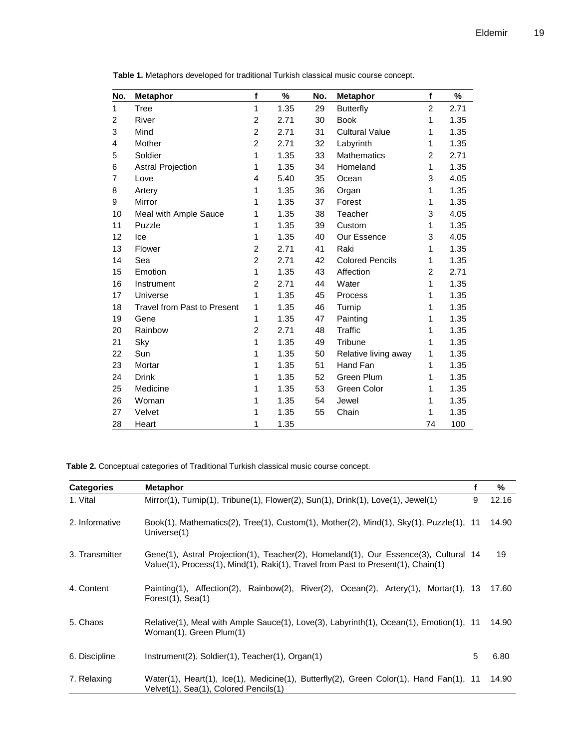| No. | <b>Metaphor</b>             | f              | %    | No. | <b>Metaphor</b>        | f              | %    |
|-----|-----------------------------|----------------|------|-----|------------------------|----------------|------|
| 1   | Tree                        | 1              | 1.35 | 29  | <b>Butterfly</b>       | $\overline{2}$ | 2.71 |
| 2   | River                       | 2              | 2.71 | 30  | <b>Book</b>            | 1              | 1.35 |
| 3   | Mind                        | $\overline{2}$ | 2.71 | 31  | <b>Cultural Value</b>  | 1              | 1.35 |
| 4   | Mother                      | $\overline{c}$ | 2.71 | 32  | Labyrinth              | 1              | 1.35 |
| 5   | Soldier                     | $\mathbf{1}$   | 1.35 | 33  | <b>Mathematics</b>     | $\overline{2}$ | 2.71 |
| 6   | <b>Astral Projection</b>    | 1              | 1.35 | 34  | Homeland               | $\mathbf{1}$   | 1.35 |
| 7   | Love                        | 4              | 5.40 | 35  | Ocean                  | 3              | 4.05 |
| 8   | Artery                      | 1              | 1.35 | 36  | Organ                  | $\mathbf{1}$   | 1.35 |
| 9   | Mirror                      | 1              | 1.35 | 37  | Forest                 | 1              | 1.35 |
| 10  | Meal with Ample Sauce       | 1              | 1.35 | 38  | Teacher                | 3              | 4.05 |
| 11  | Puzzle                      | 1              | 1.35 | 39  | Custom                 | 1              | 1.35 |
| 12  | Ice                         | $\mathbf{1}$   | 1.35 | 40  | Our Essence            | 3              | 4.05 |
| 13  | Flower                      | $\overline{c}$ | 2.71 | 41  | Raki                   | 1              | 1.35 |
| 14  | Sea                         | $\overline{c}$ | 2.71 | 42  | <b>Colored Pencils</b> | 1              | 1.35 |
| 15  | Emotion                     | 1              | 1.35 | 43  | Affection              | $\overline{2}$ | 2.71 |
| 16  | Instrument                  | $\overline{2}$ | 2.71 | 44  | Water                  | $\mathbf{1}$   | 1.35 |
| 17  | Universe                    | 1              | 1.35 | 45  | Process                | 1              | 1.35 |
| 18  | Travel from Past to Present | 1              | 1.35 | 46  | Turnip                 | 1              | 1.35 |
| 19  | Gene                        | 1              | 1.35 | 47  | Painting               | 1              | 1.35 |
| 20  | Rainbow                     | $\overline{2}$ | 2.71 | 48  | <b>Traffic</b>         | 1              | 1.35 |
| 21  | Sky                         | 1              | 1.35 | 49  | Tribune                | 1              | 1.35 |
| 22  | Sun                         | 1              | 1.35 | 50  | Relative living away   | 1              | 1.35 |
| 23  | Mortar                      | 1              | 1.35 | 51  | Hand Fan               | 1              | 1.35 |
| 24  | <b>Drink</b>                | 1              | 1.35 | 52  | Green Plum             | 1              | 1.35 |
| 25  | Medicine                    | 1              | 1.35 | 53  | Green Color            | 1              | 1.35 |
| 26  | Woman                       | 1              | 1.35 | 54  | Jewel                  | 1              | 1.35 |
| 27  | Velvet                      | 1              | 1.35 | 55  | Chain                  | 1              | 1.35 |
| 28  | Heart                       | 1              | 1.35 |     |                        | 74             | 100  |

**Table 1.** Metaphors developed for traditional Turkish classical music course concept.

**Table 2.** Conceptual categories of Traditional Turkish classical music course concept.

| <b>Categories</b> | <b>Metaphor</b>                                                                                                                                                         |   | %     |
|-------------------|-------------------------------------------------------------------------------------------------------------------------------------------------------------------------|---|-------|
| 1. Vital          | Mirror(1), Turnip(1), Tribune(1), Flower(2), Sun(1), Drink(1), Love(1), Jewel(1)                                                                                        | 9 | 12.16 |
| 2. Informative    | Book(1), Mathematics(2), Tree(1), Custom(1), Mother(2), Mind(1), Sky(1), Puzzle(1), 11<br>Universe(1)                                                                   |   | 14.90 |
| 3. Transmitter    | Gene(1), Astral Projection(1), Teacher(2), Homeland(1), Our Essence(3), Cultural 14<br>Value(1), Process(1), Mind(1), Raki(1), Travel from Past to Present(1), Chain(1) |   | 19    |
| 4. Content        | Painting(1), Affection(2), Rainbow(2), River(2), Ocean(2), Artery(1), Mortar(1), 13<br>Forest $(1)$ , Sea $(1)$                                                         |   | 17.60 |
| 5. Chaos          | Relative(1), Meal with Ample Sauce(1), Love(3), Labyrinth(1), Ocean(1), Emotion(1), 11<br>Woman(1), Green Plum(1)                                                       |   | 14.90 |
| 6. Discipline     | $Instrument(2)$ , Soldier $(1)$ , Teacher $(1)$ , Organ $(1)$                                                                                                           | 5 | 6.80  |
| 7. Relaxing       | Water(1), Heart(1), Ice(1), Medicine(1), Butterfly(2), Green Color(1), Hand Fan(1), 11<br>Velvet(1), Sea(1), Colored Pencils(1)                                         |   | 14.90 |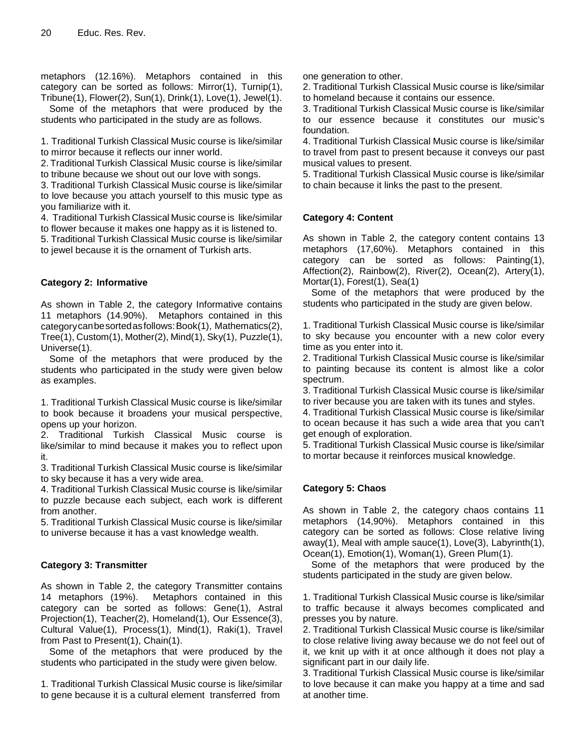metaphors (12.16%). Metaphors contained in this category can be sorted as follows: Mirror(1), Turnip(1), Tribune(1), Flower(2), Sun(1), Drink(1), Love(1), Jewel(1).

Some of the metaphors that were produced by the students who participated in the study are as follows.

1. Traditional Turkish Classical Music course is like/similar to mirror because it reflects our inner world.

2. Traditional Turkish Classical Music course is like/similar to tribune because we shout out our love with songs.

3. Traditional Turkish Classical Music course is like/similar to love because you attach yourself to this music type as you familiarize with it.

4. Traditional Turkish Classical Music course is like/similar to flower because it makes one happy as it is listened to.

5. Traditional Turkish Classical Music course is like/similar to jewel because it is the ornament of Turkish arts.

# **Category 2: Informative**

As shown in Table 2, the category Informative contains 11 metaphors (14.90%). Metaphors contained in this categorycanbesortedasfollows:Book(1), Mathematics(2), Tree(1), Custom(1), Mother(2), Mind(1), Sky(1), Puzzle(1), Universe(1).

Some of the metaphors that were produced by the students who participated in the study were given below as examples.

1. Traditional Turkish Classical Music course is like/similar to book because it broadens your musical perspective, opens up your horizon.

2. Traditional Turkish Classical Music course is like/similar to mind because it makes you to reflect upon it.

3. Traditional Turkish Classical Music course is like/similar to sky because it has a very wide area.

4. Traditional Turkish Classical Music course is like/similar to puzzle because each subject, each work is different from another.

5. Traditional Turkish Classical Music course is like/similar to universe because it has a vast knowledge wealth.

# **Category 3: Transmitter**

As shown in Table 2, the category Transmitter contains 14 metaphors (19%). Metaphors contained in this category can be sorted as follows: Gene(1), Astral Projection(1), Teacher(2), Homeland(1), Our Essence(3), Cultural Value(1), Process(1), Mind(1), Raki(1), Travel from Past to Present(1), Chain(1).

Some of the metaphors that were produced by the students who participated in the study were given below.

1. Traditional Turkish Classical Music course is like/similar to gene because it is a cultural element transferred from

one generation to other.

2. Traditional Turkish Classical Music course is like/similar to homeland because it contains our essence.

3. Traditional Turkish Classical Music course is like/similar to our essence because it constitutes our music's foundation.

4. Traditional Turkish Classical Music course is like/similar to travel from past to present because it conveys our past musical values to present.

5. Traditional Turkish Classical Music course is like/similar to chain because it links the past to the present.

### **Category 4: Content**

As shown in Table 2, the category content contains 13 metaphors (17,60%). Metaphors contained in this category can be sorted as follows: Painting(1), Affection(2), Rainbow(2), River(2), Ocean(2), Artery(1), Mortar(1), Forest(1), Sea(1)

Some of the metaphors that were produced by the students who participated in the study are given below.

1. Traditional Turkish Classical Music course is like/similar to sky because you encounter with a new color every time as you enter into it.

2. Traditional Turkish Classical Music course is like/similar to painting because its content is almost like a color spectrum.

3. Traditional Turkish Classical Music course is like/similar to river because you are taken with its tunes and styles.

4. Traditional Turkish Classical Music course is like/similar to ocean because it has such a wide area that you can't get enough of exploration.

5. Traditional Turkish Classical Music course is like/similar to mortar because it reinforces musical knowledge.

# **Category 5: Chaos**

As shown in Table 2, the category chaos contains 11 metaphors (14,90%). Metaphors contained in this category can be sorted as follows: Close relative living away(1), Meal with ample sauce(1), Love(3), Labyrinth(1), Ocean(1), Emotion(1), Woman(1), Green Plum(1).

Some of the metaphors that were produced by the students participated in the study are given below.

1. Traditional Turkish Classical Music course is like/similar to traffic because it always becomes complicated and presses you by nature.

2. Traditional Turkish Classical Music course is like/similar to close relative living away because we do not feel out of it, we knit up with it at once although it does not play a significant part in our daily life.

3. Traditional Turkish Classical Music course is like/similar to love because it can make you happy at a time and sad at another time.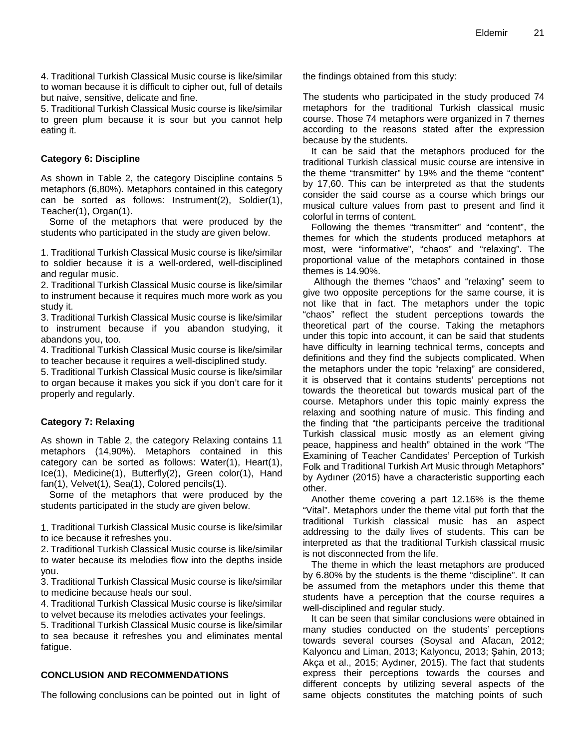4. Traditional Turkish Classical Music course is like/similar to woman because it is difficult to cipher out, full of details but naive, sensitive, delicate and fine.

5. Traditional Turkish Classical Music course is like/similar to green plum because it is sour but you cannot help eating it.

#### **Category 6: Discipline**

As shown in Table 2, the category Discipline contains 5 metaphors (6,80%). Metaphors contained in this category can be sorted as follows: Instrument(2), Soldier(1), Teacher(1), Organ(1).

Some of the metaphors that were produced by the students who participated in the study are given below.

1. Traditional Turkish Classical Music course is like/similar to soldier because it is a well-ordered, well-disciplined and regular music.

2. Traditional Turkish Classical Music course is like/similar to instrument because it requires much more work as you study it.

3. Traditional Turkish Classical Music course is like/similar to instrument because if you abandon studying, it abandons you, too.

4. Traditional Turkish Classical Music course is like/similar to teacher because it requires a well-disciplined study.

5. Traditional Turkish Classical Music course is like/similar to organ because it makes you sick if you don't care for it properly and regularly.

# **Category 7: Relaxing**

As shown in Table 2, the category Relaxing contains 11 metaphors (14,90%). Metaphors contained in this category can be sorted as follows: Water(1), Heart(1), Ice(1), Medicine(1), Butterfly(2), Green color(1), Hand fan(1), Velvet(1), Sea(1), Colored pencils(1).

Some of the metaphors that were produced by the students participated in the study are given below.

1. Traditional Turkish Classical Music course is like/similar to ice because it refreshes you.

2. Traditional Turkish Classical Music course is like/similar to water because its melodies flow into the depths inside you.

3. Traditional Turkish Classical Music course is like/similar to medicine because heals our soul.

4. Traditional Turkish Classical Music course is like/similar to velvet because its melodies activates your feelings.

5. Traditional Turkish Classical Music course is like/similar to sea because it refreshes you and eliminates mental fatigue.

#### **CONCLUSION AND RECOMMENDATIONS**

The following conclusions can be pointed out in light of

the findings obtained from this study:

The students who participated in the study produced 74 metaphors for the traditional Turkish classical music course. Those 74 metaphors were organized in 7 themes according to the reasons stated after the expression because by the students.

It can be said that the metaphors produced for the traditional Turkish classical music course are intensive in the theme "transmitter" by 19% and the theme "content" by 17,60. This can be interpreted as that the students consider the said course as a course which brings our musical culture values from past to present and find it colorful in terms of content.

Following the themes "transmitter" and "content", the themes for which the students produced metaphors at most, were "informative", "chaos" and "relaxing". The proportional value of the metaphors contained in those themes is 14.90%.

Although the themes "chaos" and "relaxing" seem to give two opposite perceptions for the same course, it is not like that in fact. The metaphors under the topic "chaos" reflect the student perceptions towards the theoretical part of the course. Taking the metaphors under this topic into account, it can be said that students have difficulty in learning technical terms, concepts and definitions and they find the subjects complicated. When the metaphors under the topic "relaxing" are considered, it is observed that it contains students' perceptions not towards the theoretical but towards musical part of the course. Metaphors under this topic mainly express the relaxing and soothing nature of music. This finding and the finding that "the participants perceive the traditional Turkish classical music mostly as an element giving peace, happiness and health" obtained in the work "The Examining of Teacher Candidates' Perception of Turkish Folk and Traditional Turkish Art Music through Metaphors" by Aydıner (2015) have a characteristic supporting each other.

Another theme covering a part 12.16% is the theme "Vital". Metaphors under the theme vital put forth that the traditional Turkish classical music has an aspect addressing to the daily lives of students. This can be interpreted as that the traditional Turkish classical music is not disconnected from the life.

The theme in which the least metaphors are produced by 6.80% by the students is the theme "discipline". It can be assumed from the metaphors under this theme that students have a perception that the course requires a well-disciplined and regular study.

It can be seen that similar conclusions were obtained in many studies conducted on the students' perceptions towards several courses (Soysal and Afacan, 2012; Kalyoncu and Liman, 2013; Kalyoncu, 2013; Şahin, 2013; Akça et al., 2015; Aydıner, 2015). The fact that students express their perceptions towards the courses and different concepts by utilizing several aspects of the same objects constitutes the matching points of such